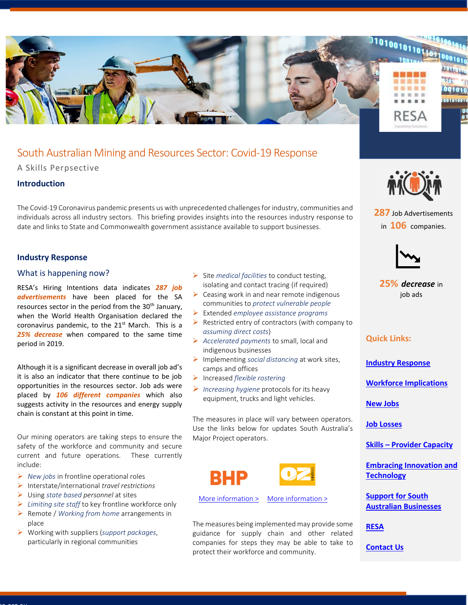

# South Australian Mining and Resources Sector: Covid-19 Response

A Skills Perpsective

# **Introduction**

The Covid-19 Coronavirus pandemic presents us with unprecedented challenges for industry, communities and individuals across all industry sectors. This briefing provides insights into the resources industry response to date and links to State and Commonwealth government assistance available to support businesses.

# <span id="page-0-0"></span>**Industry Response**

## What is happening now?

RESA's Hiring Intentions data indicates *287 job advertisements* have been placed for the SA resources sector in the period from the  $30<sup>th</sup>$  January, when the World Health Organisation declared the coronavirus pandemic, to the  $21<sup>st</sup>$  March. This is a *25% decrease* when compared to the same time period in 2019.

Although it is a significant decrease in overall job ad's it is also an indicator that there continue to be job opportunities in the resources sector. Job ads were placed by *106 different companies* which also suggests activity in the resources and energy supply chain is constant at this point in time.

Our mining operators are taking steps to ensure the safety of the workforce and community and secure current and future operations. These currently include:

- ➢ *New jobs* in frontline operational roles
- ➢ Interstate/international *travel restrictions*
- ➢ Using *state based personnel* at sites

Resa.org.au

- ➢ *Limiting site staff* to key frontline workforce only
- ➢ Remote / *Working from home* arrangements in place
- ➢ Working with suppliers (*support packages*, particularly in regional communities
- ➢ Site *medical facilities* to conduct testing, isolating and contact tracing (if required)
- $\triangleright$  Ceasing work in and near remote indigenous communities to *protect vulnerable people*
- ➢ Extended *employee assistance programs*
- $\triangleright$  Restricted entry of contractors (with company to *assuming direct costs*)
- ➢ *Accelerated payments* to small, local and indigenous businesses
- ➢ Implementing *social distancing* at work sites, camps and offices
- ➢ Increased *flexible rostering*
- ➢ *Increasing hygiene* protocols for its heavy equipment, trucks and light vehicles.

The measures in place will vary between operators. Use the links below for updates South Australia's Major Project operators.



[More information >](https://www.bhp.com/media-and-insights/news-releases/2020/03/bhp-establishes-$50-million-aud-vital-resources-fund-to-help-support-regional-communities/) [More information >](https://www.ozminerals.com/covid-19-update/)

The measures being implemented may provide some guidance for supply chain and other related companies for steps they may be able to take to protect their workforce and community.



**287** Job Advertisements in **106** companies.



**25%** *decrease* in job ads

# **Quick Links:**

**[Industry Response](#page-0-0)**

**[Workforce Implications](#page-1-0)**

**[New Jobs](#page-1-1)**

**[Job Losses](#page-1-2)**

**Skills – [Provider Capacity](#page-1-3)**

**[Embracing Innovation and](#page-2-0)  [Technology](#page-2-0)**

**[Support for South](#page-2-1)  [Australian Businesses](#page-2-1)**

**[RESA](#page-2-2)**

**Contact Us**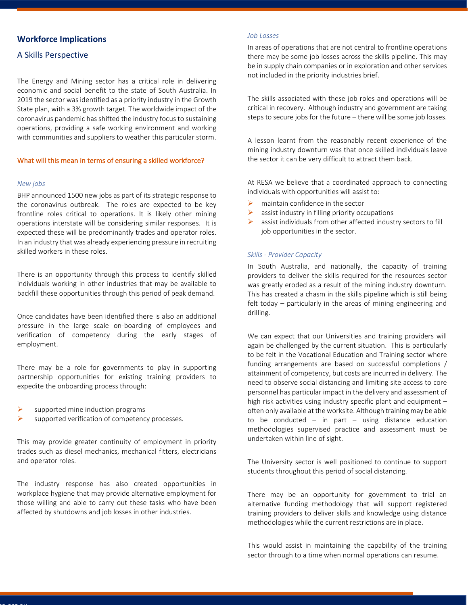# <span id="page-1-0"></span>**Workforce Implications**

# A Skills Perspective

The Energy and Mining sector has a critical role in delivering economic and social benefit to the state of South Australia. In 2019 the sector was identified as a priority industry in the Growth State plan, with a 3% growth target. The worldwide impact of the coronavirus pandemic has shifted the industry focus to sustaining operations, providing a safe working environment and working with communities and suppliers to weather this particular storm.

#### What will this mean in terms of ensuring a skilled workforce?

#### <span id="page-1-1"></span>*New jobs*

BHP announced 1500 new jobs as part of its strategic response to the coronavirus outbreak. The roles are expected to be key frontline roles critical to operations. It is likely other mining operations interstate will be considering similar responses. It is expected these will be predominantly trades and operator roles. In an industry that was already experiencing pressure in recruiting skilled workers in these roles.

There is an opportunity through this process to identify skilled individuals working in other industries that may be available to backfill these opportunities through this period of peak demand.

Once candidates have been identified there is also an additional pressure in the large scale on-boarding of employees and verification of competency during the early stages of employment.

There may be a role for governments to play in supporting partnership opportunities for existing training providers to expedite the onboarding process through:

- supported mine induction programs
- supported verification of competency processes.

This may provide greater continuity of employment in priority trades such as diesel mechanics, mechanical fitters, electricians and operator roles.

The industry response has also created opportunities in workplace hygiene that may provide alternative employment for those willing and able to carry out these tasks who have been affected by shutdowns and job losses in other industries.

#### <span id="page-1-2"></span>*Job Losses*

In areas of operations that are not central to frontline operations there may be some job losses across the skills pipeline. This may be in supply chain companies or in exploration and other services not included in the priority industries brief.

The skills associated with these job roles and operations will be critical in recovery. Although industry and government are taking steps to secure jobs for the future – there will be some job losses.

A lesson learnt from the reasonably recent experience of the mining industry downturn was that once skilled individuals leave the sector it can be very difficult to attract them back.

At RESA we believe that a coordinated approach to connecting individuals with opportunities will assist to:

- $\triangleright$  maintain confidence in the sector
- $\triangleright$  assist industry in filling priority occupations
- $\triangleright$  assist individuals from other affected industry sectors to fill job opportunities in the sector.

#### <span id="page-1-3"></span>*Skills - Provider Capacity*

In South Australia, and nationally, the capacity of training providers to deliver the skills required for the resources sector was greatly eroded as a result of the mining industry downturn. This has created a chasm in the skills pipeline which is still being felt today – particularly in the areas of mining engineering and drilling.

We can expect that our Universities and training providers will again be challenged by the current situation. This is particularly to be felt in the Vocational Education and Training sector where funding arrangements are based on successful completions / attainment of competency, but costs are incurred in delivery. The need to observe social distancing and limiting site access to core personnel has particular impact in the delivery and assessment of high risk activities using industry specific plant and equipment – often only available at the worksite. Although training may be able to be conducted  $-$  in part  $-$  using distance education methodologies supervised practice and assessment must be undertaken within line of sight.

The University sector is well positioned to continue to support students throughout this period of social distancing.

There may be an opportunity for government to trial an alternative funding methodology that will support registered training providers to deliver skills and knowledge using distance methodologies while the current restrictions are in place.

This would assist in maintaining the capability of the training sector through to a time when normal operations can resume.